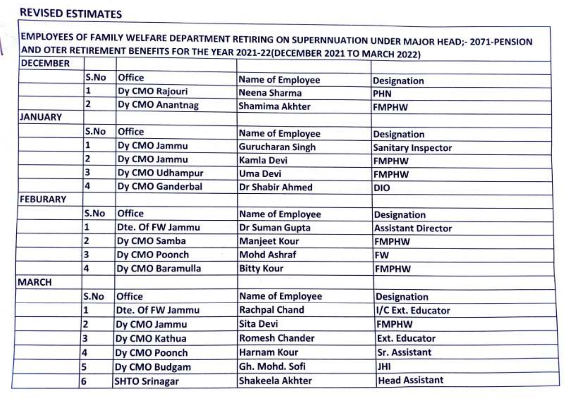## REVISED ESTIMATES

EMPLOYEES OF FAMILY WELFARE DEPARTMENT RETIRING ON SUPERNNUATION UNDER MAJOR HEAD;- 2071-PENSION AND OTER RETIREMENT BENEFITS FOR THE YEAR 2021-22(DECEMBER 2021 TO MARCH 2022)

| <b>DECEMBER</b> |      |                      |                         |                           |
|-----------------|------|----------------------|-------------------------|---------------------------|
|                 | S.No | Office               | <b>Name of Employee</b> | <b>Designation</b>        |
|                 |      | Dy CMO Rajouri       | Neena Sharma            | PHN                       |
|                 | 2    | Dy CMO Anantnag      | <b>Shamima Akhter</b>   | <b>FMPHW</b>              |
| <b>JANUARY</b>  |      |                      |                         |                           |
|                 | S.No | Office               | <b>Name of Employee</b> | <b>Designation</b>        |
|                 |      | Dy CMO Jammu         | <b>Gurucharan Singh</b> | <b>Sanitary Inspector</b> |
|                 |      | Dy CMO Jammu         | <b>Kamla Devi</b>       | <b>FMPHW</b>              |
|                 | 3    | Dy CMO Udhampur      | <b>Uma Devi</b>         | <b>FMPHW</b>              |
|                 | 4    | Dy CMO Ganderbal     | <b>Dr Shabir Ahmed</b>  | <b>DIO</b>                |
| <b>FEBURARY</b> |      |                      |                         |                           |
|                 | S.No | Office               | <b>Name of Employee</b> | <b>Designation</b>        |
|                 |      | Dte. Of FW Jammu     | Dr Suman Gupta          | <b>Assistant Director</b> |
|                 | 2    | Dy CMO Samba         | <b>Manjeet Kour</b>     | <b>FMPHW</b>              |
|                 | 3    | Dy CMO Poonch        | <b>Mohd Ashraf</b>      | <b>FW</b>                 |
|                 | 4    | Dy CMO Baramulla     | <b>Bitty Kour</b>       | <b>FMPHW</b>              |
| <b>MARCH</b>    |      |                      |                         |                           |
|                 | S.No | Office               | <b>Name of Employee</b> | <b>Designation</b>        |
|                 |      | Dte. Of FW Jammu     | <b>Rachpal Chand</b>    | I/C Ext. Educator         |
|                 | 2    | Dy CMO Jammu         | <b>Sita Devi</b>        | <b>FMPHW</b>              |
|                 | 3    | Dy CMO Kathua        | <b>Romesh Chander</b>   | <b>Ext. Educator</b>      |
|                 | 4    | Dy CMO Poonch        | <b>Harnam Kour</b>      | <b>Sr. Assistant</b>      |
|                 | 5    | Dy CMO Budgam        | Gh. Mohd. Sofi          | JHI                       |
|                 | 6    | <b>SHTO Srinagar</b> | <b>Shakeela Akhter</b>  | <b>Head Assistant</b>     |
|                 |      |                      |                         |                           |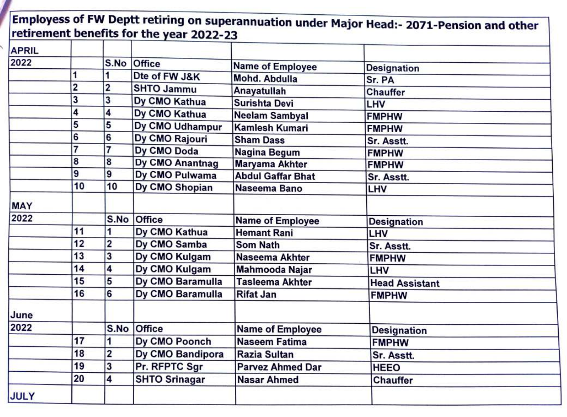| <b>APRIL</b> |    |                         |                        |                          |                              |
|--------------|----|-------------------------|------------------------|--------------------------|------------------------------|
| 2022         |    |                         | S.No Office            | <b>Name of Employee</b>  |                              |
|              |    |                         | Dte of FW J&K          | Mohd. Abdulla            | <b>Designation</b><br>Sr. PA |
|              | 2  |                         | <b>SHTO Jammu</b>      | Anayatullah              | <b>Chauffer</b>              |
|              | 3  | 3                       | Dy CMO Kathua          | <b>Surishta Devi</b>     | LHV                          |
|              | 4  | 4                       | Dy CMO Kathua          | <b>Neelam Sambyal</b>    | <b>FMPHW</b>                 |
|              | 5  | 5                       | Dy CMO Udhampur        | Kamlesh Kumari           | <b>FMPHW</b>                 |
|              | 6  | 6                       | Dy CMO Rajouri         | <b>Sham Dass</b>         | Sr. Asstt.                   |
|              | 7  |                         | Dy CMO Doda            | Nagina Begum             | <b>FMPHW</b>                 |
|              | 8  | 8                       | <b>Dy CMO Anantnag</b> | <b>Maryama Akhter</b>    | <b>FMPHW</b>                 |
|              | 9  | 9                       | Dy CMO Pulwama         | <b>Abdul Gaffar Bhat</b> | Sr. Asstt.                   |
|              | 10 | 10                      | Dy CMO Shopian         | Naseema Bano             | LHV                          |
| <b>MAY</b>   |    |                         |                        |                          |                              |
| 2022         |    | S.No                    | <b>Office</b>          | <b>Name of Employee</b>  | <b>Designation</b>           |
|              | 11 |                         | Dy CMO Kathua          | <b>Hemant Rani</b>       | <b>LHV</b>                   |
|              | 12 | 2                       | Dy CMO Samba           | <b>Som Nath</b>          | Sr. Asstt.                   |
|              | 13 | 3                       | Dy CMO Kulgam          | Naseema Akhter           | <b>FMPHW</b>                 |
|              | 14 | 4                       | Dy CMO Kulgam          | Mahmooda Najar           | LHV                          |
|              | 15 | 5                       | Dy CMO Baramulla       | <b>Tasleema Akhter</b>   | <b>Head Assistant</b>        |
|              | 16 | 6                       | Dy CMO Baramulla       | <b>Rifat Jan</b>         | <b>FMPHW</b>                 |
| June         |    |                         |                        |                          |                              |
| 2022         |    |                         | S.No Office            | <b>Name of Employee</b>  | <b>Designation</b>           |
|              | 17 | 1                       | Dy CMO Poonch          | Naseem Fatima            | <b>FMPHW</b>                 |
|              | 18 | 2                       | Dy CMO Bandipora       | Razia Sultan             | Sr. Asstt.                   |
|              | 19 | 3                       | Pr. RFPTC Sgr          | <b>Parvez Ahmed Dar</b>  | HEEO                         |
|              | 20 | $\overline{\mathbf{4}}$ | <b>SHTO Srinagar</b>   | <b>Nasar Ahmed</b>       | <b>Chauffer</b>              |
| <b>JULY</b>  |    |                         |                        |                          |                              |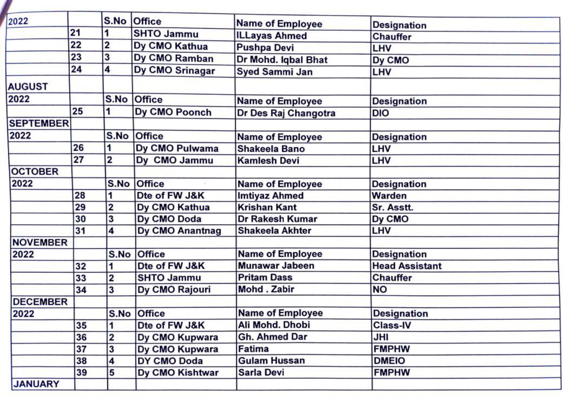| 2022             |    | S.No                    | <b>Office</b>          | <b>Name of Employee</b> | <b>Designation</b>    |  |
|------------------|----|-------------------------|------------------------|-------------------------|-----------------------|--|
|                  | 21 |                         | <b>SHTO Jammu</b>      | <b>ILLayas Ahmed</b>    | <b>Chauffer</b>       |  |
|                  | 22 | 2                       | Dy CMO Kathua          | <b>Pushpa Devi</b>      | LHV                   |  |
|                  | 23 | 3                       | Dy CMO Ramban          | Dr Mohd. Iqbal Bhat     | Dy CMO                |  |
|                  | 24 | 4                       | <b>Dy CMO Srinagar</b> | Syed Sammi Jan          | LHV                   |  |
| <b>AUGUST</b>    |    |                         |                        |                         |                       |  |
| 2022             |    |                         | S.No Office            | <b>Name of Employee</b> | <b>Designation</b>    |  |
|                  | 25 | 1                       | <b>Dy CMO Poonch</b>   | Dr Des Raj Changotra    | <b>DIO</b>            |  |
| <b>SEPTEMBER</b> |    |                         |                        |                         |                       |  |
| 2022             |    |                         | S.No Office            | <b>Name of Employee</b> | <b>Designation</b>    |  |
|                  | 26 |                         | Dy CMO Pulwama         | <b>Shakeela Bano</b>    | LHV                   |  |
|                  | 27 | 2                       | Dy CMO Jammu           | <b>Kamlesh Devi</b>     | LHV                   |  |
| <b>OCTOBER</b>   |    |                         |                        |                         |                       |  |
| 2022             |    | S.No                    | <b>Office</b>          | Name of Employee        | <b>Designation</b>    |  |
|                  | 28 |                         | Dte of FW J&K          | <b>Imtiyaz Ahmed</b>    | Warden                |  |
|                  | 29 | 2                       | Dy CMO Kathua          | <b>Krishan Kant</b>     | Sr. Asstt.            |  |
|                  | 30 | 3                       | <b>Dy CMO Doda</b>     | Dr Rakesh Kumar         | Dy CMO                |  |
|                  | 31 | 4                       | Dy CMO Anantnag        | <b>Shakeela Akhter</b>  | LHV                   |  |
| <b>NOVEMBER</b>  |    |                         |                        |                         |                       |  |
| 2022             |    | S.No                    | Office                 | <b>Name of Employee</b> | <b>Designation</b>    |  |
|                  | 32 | 1                       | Dte of FW J&K          | <b>Munawar Jabeen</b>   | <b>Head Assistant</b> |  |
|                  | 33 | 2                       | <b>SHTO Jammu</b>      | <b>Pritam Dass</b>      | <b>Chauffer</b>       |  |
|                  | 34 | 3                       | Dy CMO Rajouri         | Mohd. Zabir             | <b>NO</b>             |  |
| <b>DECEMBER</b>  |    |                         |                        |                         |                       |  |
| 2022             |    | S.No                    | <b>Office</b>          | <b>Name of Employee</b> | Designation           |  |
|                  | 35 | 1                       | Dte of FW J&K          | Ali Mohd. Dhobi         | Class-IV              |  |
|                  | 36 | $\overline{\mathbf{2}}$ | Dy CMO Kupwara         | Gh. Ahmed Dar           | JHI                   |  |
|                  | 37 | 3                       | Dy CMO Kupwara         | Fatima                  | <b>FMPHW</b>          |  |
|                  | 38 | 4                       | DY CMO Doda            | <b>Gulam Hussan</b>     | <b>DMEIO</b>          |  |
|                  | 39 | 5                       | Dy CMO Kishtwar        | Sarla Devi              | <b>FMPHW</b>          |  |
| <b>JANUARY</b>   |    |                         |                        |                         |                       |  |